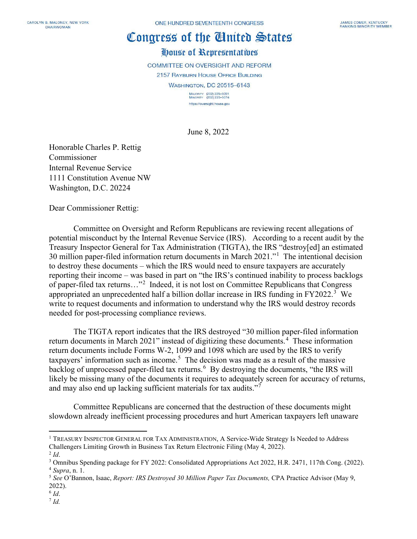## Congress of the Ginited States

House of Representatives

**COMMITTEE ON OVERSIGHT AND REFORM** 

2157 RAYBURN HOUSE OFFICE BUILDING

**WASHINGTON, DC 20515-6143** 

MAJORITY (202) 225-5051<br>MINORITY (202) 225-5074 https://oversight.house.gov

June 8, 2022

Honorable Charles P. Rettig Commissioner Internal Revenue Service 1111 Constitution Avenue NW Washington, D.C. 20224

Dear Commissioner Rettig:

Committee on Oversight and Reform Republicans are reviewing recent allegations of potential misconduct by the Internal Revenue Service (IRS). According to a recent audit by the Treasury Inspector General for Tax Administration (TIGTA), the IRS "destroy[ed] an estimated 30 million paper-filed information return documents in March 2021."[1](#page-0-0) The intentional decision to destroy these documents – which the IRS would need to ensure taxpayers are accurately reporting their income – was based in part on "the IRS's continued inability to process backlogs of paper-filed tax returns..."<sup>[2](#page-0-1)</sup> Indeed, it is not lost on Committee Republicans that Congress appropriated an unprecedented half a billion dollar increase in IRS funding in FY2022.<sup>[3](#page-0-2)</sup> We write to request documents and information to understand why the IRS would destroy records needed for post-processing compliance reviews.

The TIGTA report indicates that the IRS destroyed "30 million paper-filed information return documents in March 2021" instead of digitizing these documents.<sup>[4](#page-0-3)</sup> These information return documents include Forms W-2, 1099 and 1098 which are used by the IRS to verify taxpayers' information such as income.<sup>[5](#page-0-4)</sup> The decision was made as a result of the massive backlog of unprocessed paper-filed tax returns.<sup>[6](#page-0-5)</sup> By destroying the documents, "the IRS will likely be missing many of the documents it requires to adequately screen for accuracy of returns, and may also end up lacking sufficient materials for tax audits."[7](#page-0-6)

Committee Republicans are concerned that the destruction of these documents might slowdown already inefficient processing procedures and hurt American taxpayers left unaware

 $^{6}$  *Id.*  $^{7}$  *Id.* 

<span id="page-0-0"></span><sup>&</sup>lt;sup>1</sup> TREASURY INSPECTOR GENERAL FOR TAX ADMINISTRATION, A Service-Wide Strategy Is Needed to Address Challengers Limiting Growth in Business Tax Return Electronic Filing (May 4, 2022).

<span id="page-0-2"></span><span id="page-0-1"></span><sup>&</sup>lt;sup>2</sup> *Id*.<br><sup>3</sup> Omnibus Spending package for FY 2022: Consolidated Appropriations Act 2022, H.R. 2471, 117th Cong. (2022). <sup>4</sup> *Supra*, n. 1.

<span id="page-0-4"></span><span id="page-0-3"></span><sup>5</sup> *See* O'Bannon, Isaac, *Report: IRS Destroyed 30 Million Paper Tax Documents,* CPA Practice Advisor (May 9, 2022).

<span id="page-0-6"></span><span id="page-0-5"></span>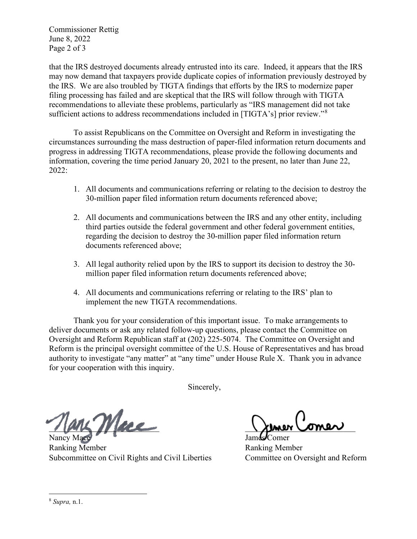Commissioner Rettig June 8, 2022 Page 2 of 3

that the IRS destroyed documents already entrusted into its care. Indeed, it appears that the IRS may now demand that taxpayers provide duplicate copies of information previously destroyed by the IRS. We are also troubled by TIGTA findings that efforts by the IRS to modernize paper filing processing has failed and are skeptical that the IRS will follow through with TIGTA recommendations to alleviate these problems, particularly as "IRS management did not take sufficient actions to address recommendations included in [TIGTA's] prior review."<sup>[8](#page-1-0)</sup>

To assist Republicans on the Committee on Oversight and Reform in investigating the circumstances surrounding the mass destruction of paper-filed information return documents and progress in addressing TIGTA recommendations, please provide the following documents and information, covering the time period January 20, 2021 to the present, no later than June 22, 2022:

- 1. All documents and communications referring or relating to the decision to destroy the 30-million paper filed information return documents referenced above;
- 2. All documents and communications between the IRS and any other entity, including third parties outside the federal government and other federal government entities, regarding the decision to destroy the 30-million paper filed information return documents referenced above;
- 3. All legal authority relied upon by the IRS to support its decision to destroy the 30 million paper filed information return documents referenced above;
- 4. All documents and communications referring or relating to the IRS' plan to implement the new TIGTA recommendations.

Thank you for your consideration of this important issue. To make arrangements to deliver documents or ask any related follow-up questions, please contact the Committee on Oversight and Reform Republican staff at (202) 225-5074. The Committee on Oversight and Reform is the principal oversight committee of the U.S. House of Representatives and has broad authority to investigate "any matter" at "any time" under House Rule X. Thank you in advance for your cooperation with this inquiry.

Sincerely,

 $\mathcal{M}_{dec}$ 

Nancy Mac Ranking Member Ranking Member Subcommittee on Civil Rights and Civil Liberties Committee on Oversight and Reform

<span id="page-1-0"></span><sup>8</sup> *Supra,* n.1.